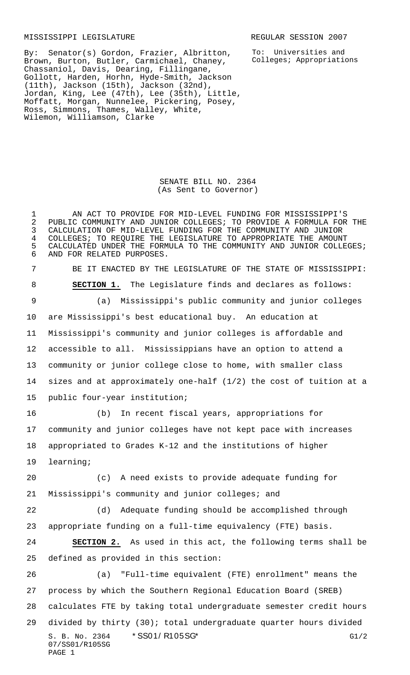MISSISSIPPI LEGISLATURE **REGULAR SESSION 2007** 

To: Universities and Colleges; Appropriations

By: Senator(s) Gordon, Frazier, Albritton, Brown, Burton, Butler, Carmichael, Chaney, Chassaniol, Davis, Dearing, Fillingane, Gollott, Harden, Horhn, Hyde-Smith, Jackson (11th), Jackson (15th), Jackson (32nd), Jordan, King, Lee (47th), Lee (35th), Little, Moffatt, Morgan, Nunnelee, Pickering, Posey, Ross, Simmons, Thames, Walley, White, Wilemon, Williamson, Clarke

> SENATE BILL NO. 2364 (As Sent to Governor)

S. B. No. 2364 \* SS01/ R105SG\* G1/2 07/SS01/R105SG PAGE 1 AN ACT TO PROVIDE FOR MID-LEVEL FUNDING FOR MISSISSIPPI'S 2 PUBLIC COMMUNITY AND JUNIOR COLLEGES; TO PROVIDE A FORMULA FOR THE<br>3 CALCULATION OF MID-LEVEL FUNDING FOR THE COMMUNITY AND JUNIOR 3 CALCULATION OF MID-LEVEL FUNDING FOR THE COMMUNITY AND JUNIOR<br>4 COLLEGES; TO REQUIRE THE LEGISLATURE TO APPROPRIATE THE AMOUNT 4 COLLEGES; TO REQUIRE THE LEGISLATURE TO APPROPRIATE THE AMOUNT<br>5 CALCULATED UNDER THE FORMULA TO THE COMMUNITY AND JUNIOR COLLE CALCULATED UNDER THE FORMULA TO THE COMMUNITY AND JUNIOR COLLEGES; AND FOR RELATED PURPOSES. BE IT ENACTED BY THE LEGISLATURE OF THE STATE OF MISSISSIPPI: **SECTION 1.** The Legislature finds and declares as follows: (a) Mississippi's public community and junior colleges are Mississippi's best educational buy. An education at Mississippi's community and junior colleges is affordable and accessible to all. Mississippians have an option to attend a community or junior college close to home, with smaller class sizes and at approximately one-half (1/2) the cost of tuition at a public four-year institution; (b) In recent fiscal years, appropriations for community and junior colleges have not kept pace with increases appropriated to Grades K-12 and the institutions of higher learning; (c) A need exists to provide adequate funding for Mississippi's community and junior colleges; and (d) Adequate funding should be accomplished through appropriate funding on a full-time equivalency (FTE) basis. **SECTION 2.** As used in this act, the following terms shall be defined as provided in this section: (a) "Full-time equivalent (FTE) enrollment" means the process by which the Southern Regional Education Board (SREB) calculates FTE by taking total undergraduate semester credit hours divided by thirty (30); total undergraduate quarter hours divided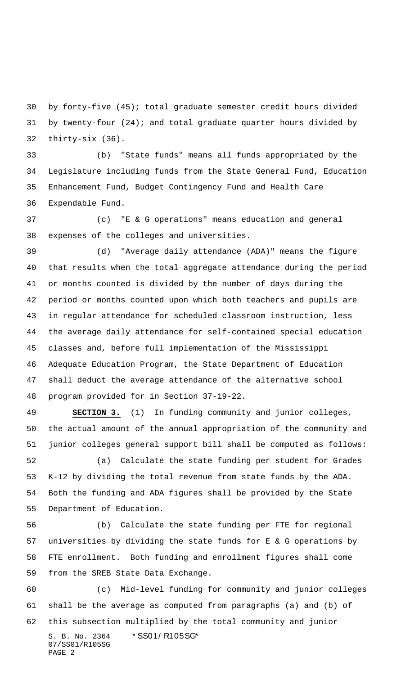by forty-five (45); total graduate semester credit hours divided by twenty-four (24); and total graduate quarter hours divided by thirty-six (36).

 (b) "State funds" means all funds appropriated by the Legislature including funds from the State General Fund, Education Enhancement Fund, Budget Contingency Fund and Health Care Expendable Fund.

 (c) "E & G operations" means education and general expenses of the colleges and universities.

 (d) "Average daily attendance (ADA)" means the figure that results when the total aggregate attendance during the period or months counted is divided by the number of days during the period or months counted upon which both teachers and pupils are in regular attendance for scheduled classroom instruction, less the average daily attendance for self-contained special education classes and, before full implementation of the Mississippi Adequate Education Program, the State Department of Education shall deduct the average attendance of the alternative school program provided for in Section 37-19-22.

 **SECTION 3.** (1) In funding community and junior colleges, the actual amount of the annual appropriation of the community and junior colleges general support bill shall be computed as follows: (a) Calculate the state funding per student for Grades K-12 by dividing the total revenue from state funds by the ADA.

 Both the funding and ADA figures shall be provided by the State Department of Education.

 (b) Calculate the state funding per FTE for regional universities by dividing the state funds for E & G operations by FTE enrollment. Both funding and enrollment figures shall come from the SREB State Data Exchange.

 (c) Mid-level funding for community and junior colleges shall be the average as computed from paragraphs (a) and (b) of this subsection multiplied by the total community and junior

S. B. No. 2364 \* SS01/ R105SG\* 07/SS01/R105SG PAGE 2